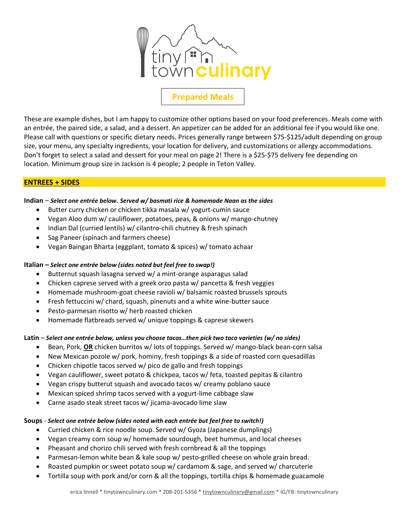

# **Prepared Meals**

These are example dishes, but I am happy to customize other options based on your food preferences. Meals come with an entrée, the paired side, a salad, and a dessert. An appetizer can be added for an additional fee if you would like one. Please call with questions or specific dietary needs. Prices generally range between \$75-\$125/adult depending on group size, your menu, any specialty ingredients, your location for delivery, and customizations or allergy accommodations. Don't forget to select a salad and dessert for your meal on page 2! There is a \$25-\$75 delivery fee depending on location. Minimum group size in Jackson is 4 people; 2 people in Teton Valley.

# **ENTREES + SIDES**

## **Indian** – *Select one entrée below. Served w/ basmati rice & homemade Naan as the sides*

- Butter curry chicken or chicken tikka masala w/ yogurt-cumin sauce
- Vegan Aloo dum w/ cauliflower, potatoes, peas, & onions w/ mango-chutney
- Indian Dal (curried lentils) w/ cilantro-chili chutney & fresh spinach
- Sag Paneer (spinach and farmers cheese)
- Vegan Baingan Bharta (eggplant, tomato & spices) w/ tomato achaar

## **Italian –** *Select one entrée below (sides noted but feel free to swap!)*

- Butternut squash lasagna served w/ a mint-orange asparagus salad
- Chicken caprese served with a greek orzo pasta w/ pancetta & fresh veggies
- Homemade mushroom-goat cheese ravioli w/ balsamic roasted brussels sprouts
- Fresh fettuccini w/ chard, squash, pinenuts and a white wine-butter sauce
- Pesto-parmesan risotto w/ herb roasted chicken
- Homemade flatbreads served w/ unique toppings & caprese skewers

## **Latin** – *Select one entrée below, unless you choose tacos…then pick two taco varieties (w/ no sides)*

- Bean, Pork, **OR** chicken burritos w/ lots of toppings. Served w/ mango-black bean-corn salsa
- New Mexican pozole w/ pork, hominy, fresh toppings & a side of roasted corn quesadillas
- Chicken chipotle tacos served w/ pico de gallo and fresh toppings
- Vegan cauliflower, sweet potato & chickpea, tacos w/ feta, toasted pepitas & cilantro
- Vegan crispy butterut squash and avocado tacos w/ creamy poblano sauce
- Mexican spiced shrimp tacos served with a yogurt-lime cabbage slaw
- Carne asado steak street tacos w/ jicama-avocado lime slaw

## **Soups** - *Select one entrée below (sides noted with each entrée but feel free to switch!)*

- Curried chicken & rice noodle soup. Served w/ Gyoza (Japanese dumplings)
- Vegan creamy corn soup w/ homemade sourdough, beet hummus, and local cheeses
- Pheasant and chorizo chili served with fresh cornbread & all the toppings
- Parmesan-lemon white bean & kale soup w/ pesto-grilled cheese on whole grain bread.
- Roasted pumpkin or sweet potato soup w/ cardamom & sage, and served w/ charcuterie
- Tortilla soup with pork and/or corn & all the toppings, tortilla chips & homemade guacamole